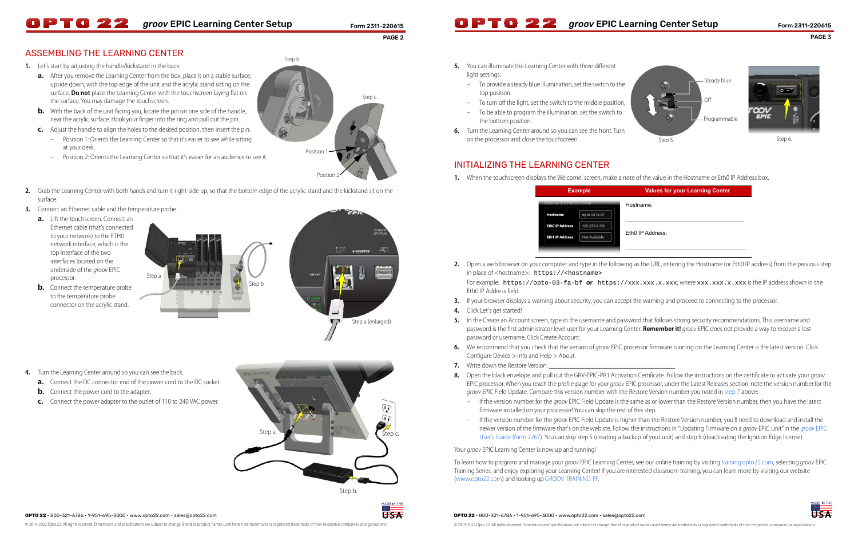**OPTO 22** • 800-321-6786 • 1-951-695-3000 • www.opto22.com • sales@opto22.com

© 2019-2022 Opto 22. All rights reserved. Dimensions and specifications are subject to change. Brand or product names used herein are trademarks or registered trademarks of their respective companies or organizations.

### **OPTO 22** • 800-321-6786 • 1-951-695-3000 • www.opto22.com • sales@opto22.com

### PAGE 3

# **OPTO 22** groov EPIC Learning Center Setup Form 2311-220615 **OPTO 22** groov EPIC Learning Center Setup Form 2311-220615

PAGE 2

# ASSEMBLING THE LEARNING CENTER

- **1.** Let's start by adjusting the handle/kickstand in the back.
	- **a.** After you remove the Learning Center from the box, place it on a stable surface, upside down, with the top edge of the unit and the acrylic stand sitting on the surface. **Do not** place the Learning Center with the touchscreen laying flat on the surface. You may damage the touchscreen.
	- **b.** With the back of the unit facing you, locate the pin on one side of the handle, near the acrylic surface. Hook your finger into the ring and pull out the pin.
	- **c.** Adjust the handle to align the holes to the desired position, then insert the pin.
		- Position 1: Orients the Learning Center so that it's easier to see while sitting at your desk.

- Position 2: Orients the Learning Center so that it's easier for an audience to see it.
- **2.** Grab the Learning Center with both hands and turn it right-side up, so that the bottom edge of the acrylic stand and the kickstand sit on the surface.
- **3.** Connect an Ethernet cable and the temperature probe.
	- **a.** Lift the touchscreen. Connect an Ethernet cable (that's connected to your network) to the ETH0 network interface, which is the top interface of the two interfaces located on the underside of the groov EPIC processor.
	- **b.** Connect the temperature probe to the temperature probe connector on the acrylic stand.

**5.** In the Create an Account screen, type in the username and password that follows strong security recommendations. This username and password is the first administrator level user for your Learning Center. **Remember it!** groov EPIC does not provide a way to recover a lost

**6.** We recommend that you check that the version of groov EPIC processor firmware running on the Learning Center is the latest version. Click

- in place of <hostname>: https://<hostname> Eth0 IP Address field.
- **3.** If your browser displays a warning about security, you can accept the warning and proceed to connecting to the processor.
- **4.** Click Let's get started!
- password or username. Click Create Account.
- Configure Device > Info and Help > About.
- <span id="page-0-0"></span>**7.** Write down the Restore Version:
- 8. Open the black envelope and pull out the GRV-EPIC-PR1 Activation Certificate. Follow the instructions on the certificate to activate your *groov* groov EPIC Field Update. Compare this version number with the Restore Version number you noted in [step 7](#page-0-0) above:
	- firmware installed on your processor! You can skip the rest of this step.
	-

Your *groov* EPIC Learning Center is now up and running!

- **5.** You can illuminate the Learning Center with three different light settings:
	- To provide a steady blue illumination, set the switch to the top position.
	- To turn off the light, set the switch to the middle position.
	- To be able to program the illumination, set the switch to the bottom position.
- **6.** Turn the Learning Center around so you can see the front. Turn on the processor and close the touchscreen.

To learn how to program and manage your groov EPIC Learning Center, see our online training by visiting [training.opto22.com](https://training.opto22.com/), selecting groov EPIC Training Series, and enjoy exploring your Learning Center! If you are interested classroom training, you can learn more by visiting our website



# INITIALIZING THE LEARNING CENTER

**1.** When the touchscreen displays the Welcome! screen, make a note of the value in the Hostname or Eth0 IP Address box.

([www.opto22.com](https://www.opto22.com/)) and looking up [GROOV-TRAINING-PF](https://www.opto22.com/products/product-container/groov-training-pf).

Hostname:

### Eth0 IP Address:



**2.** Open a web browser on your computer and type in the following as the URL, entering the Hostname (or Eth0 IP address) from the previous step

For example: https://opto-03-fa-bf **or** https://xxx.xxx.x.xxx.x.xxx, where xxx.xxx.x.x.xxx is the IP address shown in the







### **Example Values for your Learning Center**

Step a.

Step b.

Step c.

**IEIS-A** 

 $\mathbb{G}$  $\sqrt{1}$ 



Step a



- **4.** Turn the Learning Center around so you can see the back.
	- **a.** Connect the DC connector end of the power cord to the DC socket.
	- **b.** Connect the power cord to the adapter.
	- **c.** Connect the power adapter to the outlet of 110 to 240 VAC power.

EPIC processor. When you reach the profile page for your *groov* EPIC processor, under the Latest Releases section, note the version number for the

<sup>–</sup> If the version number for the groov EPIC Field Update is the same as or lower than the Restore Version number, then you have the latest

<sup>–</sup> If the version number for the groov EPIC Field Update is higher than the Restore Version number, you'll need to download and install the newer version of the firmware that's on the webiste. Follow the instructions in "Updating Firmware on a [groov](https://www.opto22.com/support/resources-tools/documents/2267-groov-epic-user-s-guide) EPIC Unit" in the groov EPIC User's Guide (form 2267). You can skip step 5 (creating a backup of your unit) and step 6 (deactivating the Ignition Edge license).